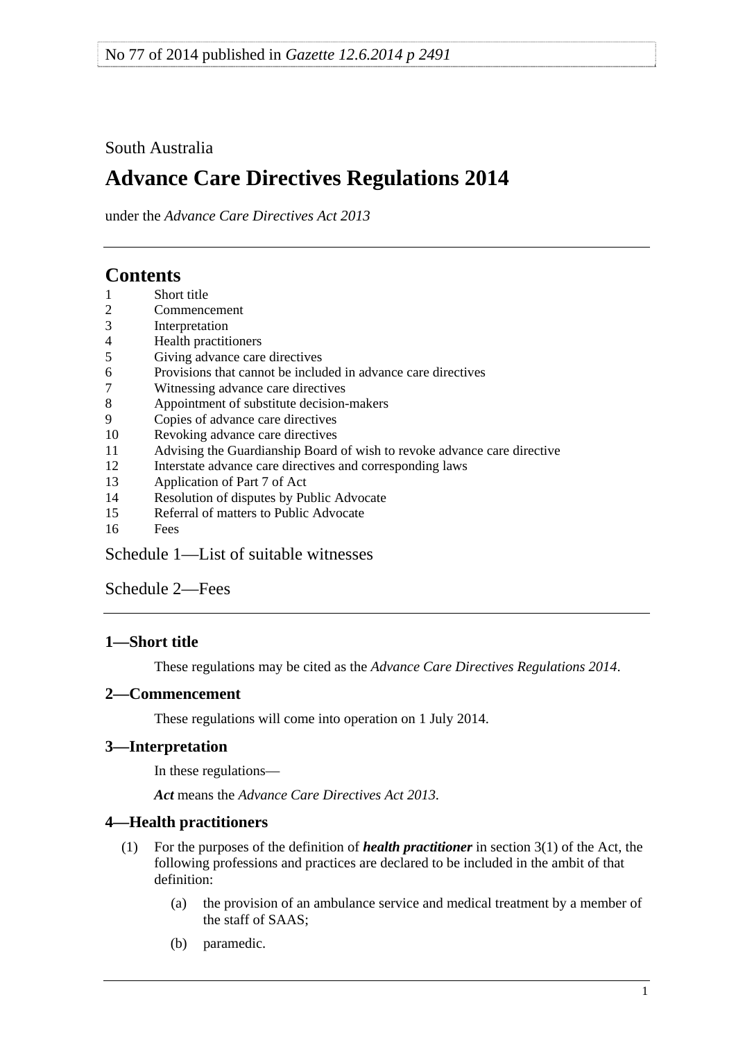## <span id="page-0-0"></span>South Australia

# **Advance Care Directives Regulations 2014**

under the *Advance Care Directives Act 2013*

## **Contents**

- [1 Short title](#page-0-0)
- [2 Commencement](#page-0-0)
- [3 Interpretation](#page-0-0)
- [4 Health practitioners](#page-0-0)
- [5 Giving advance care directives](#page-1-0)
- [6 Provisions that cannot be included in advance care directives](#page-1-0)
- [7 Witnessing advance care directives](#page-1-0)
- [8 Appointment of substitute decision-makers](#page-2-0)
- [9 Copies of advance care directives](#page-2-0)
- [10 Revoking advance care directives](#page-2-0)
- [11 Advising the Guardianship Board of wish to revoke advance care directive](#page-2-0)
- [12 Interstate advance care directives and corresponding laws](#page-2-0)
- [13 Application of Part 7 of Act](#page-4-0)
- [14 Resolution of disputes by Public Advocate](#page-4-0)
- [15 Referral of matters to Public Advocate](#page-4-0)
- [16 Fees](#page-4-0)

[Schedule 1—List of suitable witnesses](#page-4-0)

[Schedule 2—Fees](#page-6-0) 

## **1—Short title**

These regulations may be cited as the *Advance Care Directives Regulations 2014*.

## **2—Commencement**

These regulations will come into operation on 1 July 2014.

## **3—Interpretation**

In these regulations—

*Act* means the *[Advance Care Directives Act 2013](http://www.legislation.sa.gov.au/index.aspx?action=legref&type=act&legtitle=Advance%20Care%20Directives%20Act%202013)*.

## **4—Health practitioners**

- (1) For the purposes of the definition of *health practitioner* in section 3(1) of the Act, the following professions and practices are declared to be included in the ambit of that definition:
	- (a) the provision of an ambulance service and medical treatment by a member of the staff of SAAS;
	- (b) paramedic.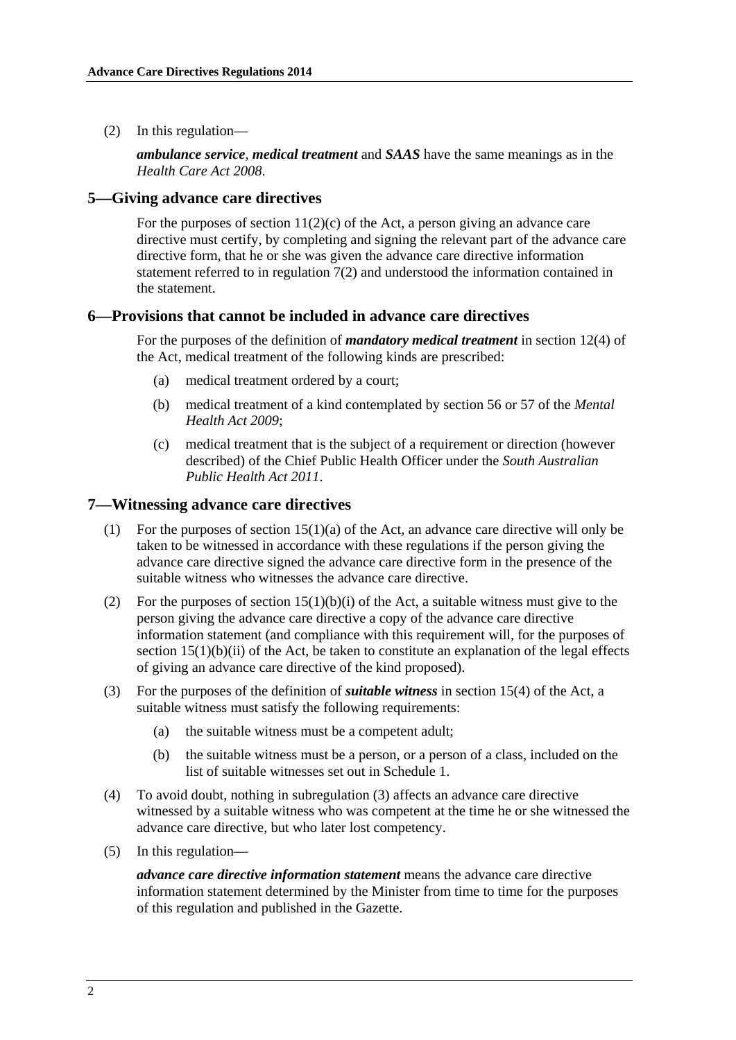<span id="page-1-0"></span>(2) In this regulation—

*ambulance service*, *medical treatment* and *SAAS* have the same meanings as in the *[Health Care Act 2008](http://www.legislation.sa.gov.au/index.aspx?action=legref&type=act&legtitle=Health%20Care%20Act%202008)*.

#### **5—Giving advance care directives**

For the purposes of section  $11(2)(c)$  of the Act, a person giving an advance care directive must certify, by completing and signing the relevant part of the advance care directive form, that he or she was given the advance care directive information statement referred to in [regulation 7\(2\)](#page-1-0) and understood the information contained in the statement.

### **6—Provisions that cannot be included in advance care directives**

For the purposes of the definition of *mandatory medical treatment* in section 12(4) of the Act, medical treatment of the following kinds are prescribed:

- (a) medical treatment ordered by a court;
- (b) medical treatment of a kind contemplated by section 56 or 57 of the *[Mental](http://www.legislation.sa.gov.au/index.aspx?action=legref&type=act&legtitle=Mental%20Health%20Act%202009)  [Health Act 2009](http://www.legislation.sa.gov.au/index.aspx?action=legref&type=act&legtitle=Mental%20Health%20Act%202009)*;
- (c) medical treatment that is the subject of a requirement or direction (however described) of the Chief Public Health Officer under the *[South Australian](http://www.legislation.sa.gov.au/index.aspx?action=legref&type=act&legtitle=South%20Australian%20Public%20Health%20Act%202011)  [Public Health Act 2011](http://www.legislation.sa.gov.au/index.aspx?action=legref&type=act&legtitle=South%20Australian%20Public%20Health%20Act%202011)*.

#### **7—Witnessing advance care directives**

- (1) For the purposes of section 15(1)(a) of the Act, an advance care directive will only be taken to be witnessed in accordance with these regulations if the person giving the advance care directive signed the advance care directive form in the presence of the suitable witness who witnesses the advance care directive.
- (2) For the purposes of section  $15(1)(b)(i)$  of the Act, a suitable witness must give to the person giving the advance care directive a copy of the advance care directive information statement (and compliance with this requirement will, for the purposes of section  $15(1)(b)(ii)$  of the Act, be taken to constitute an explanation of the legal effects of giving an advance care directive of the kind proposed).
- (3) For the purposes of the definition of *suitable witness* in section 15(4) of the Act, a suitable witness must satisfy the following requirements:
	- (a) the suitable witness must be a competent adult;
	- (b) the suitable witness must be a person, or a person of a class, included on the list of suitable witnesses set out in [Schedule 1](#page-4-0).
- (4) To avoid doubt, nothing in [subregulation \(3\)](#page-1-0) affects an advance care directive witnessed by a suitable witness who was competent at the time he or she witnessed the advance care directive, but who later lost competency.
- (5) In this regulation—

*advance care directive information statement* means the advance care directive information statement determined by the Minister from time to time for the purposes of this regulation and published in the Gazette.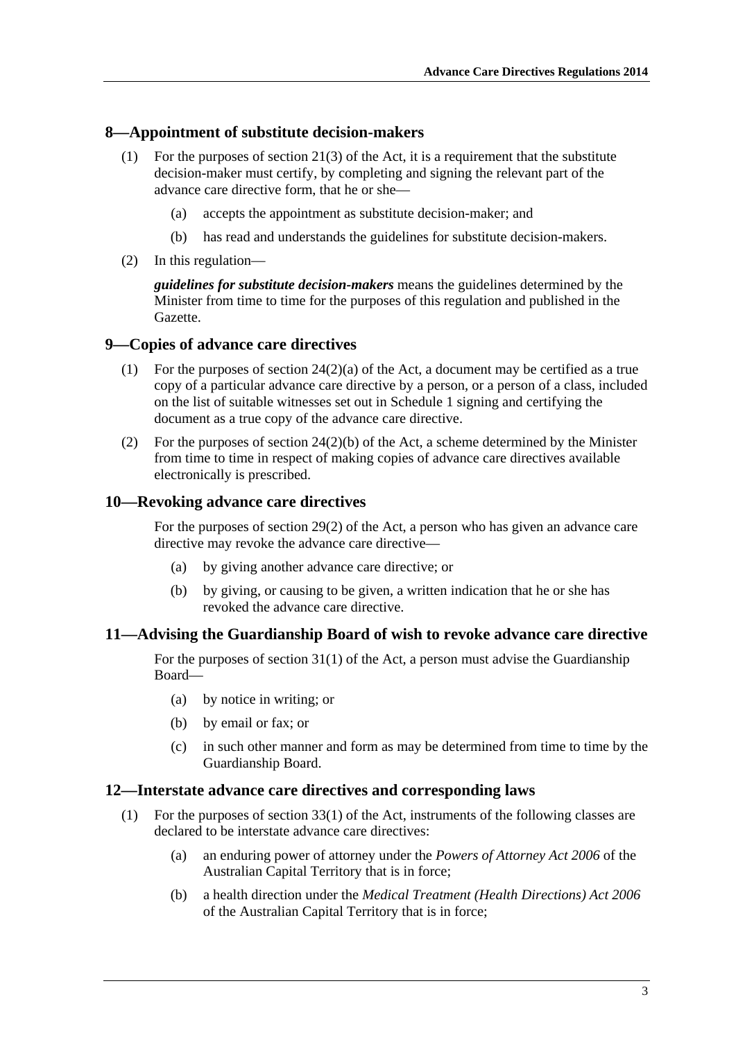#### <span id="page-2-0"></span>**8—Appointment of substitute decision-makers**

- (1) For the purposes of section 21(3) of the Act, it is a requirement that the substitute decision-maker must certify, by completing and signing the relevant part of the advance care directive form, that he or she—
	- (a) accepts the appointment as substitute decision-maker; and
	- (b) has read and understands the guidelines for substitute decision-makers.
- (2) In this regulation—

*guidelines for substitute decision-makers* means the guidelines determined by the Minister from time to time for the purposes of this regulation and published in the Gazette.

### **9—Copies of advance care directives**

- (1) For the purposes of section 24(2)(a) of the Act, a document may be certified as a true copy of a particular advance care directive by a person, or a person of a class, included on the list of suitable witnesses set out in [Schedule 1](#page-4-0) signing and certifying the document as a true copy of the advance care directive.
- (2) For the purposes of section 24(2)(b) of the Act, a scheme determined by the Minister from time to time in respect of making copies of advance care directives available electronically is prescribed.

#### **10—Revoking advance care directives**

For the purposes of section 29(2) of the Act, a person who has given an advance care directive may revoke the advance care directive—

- (a) by giving another advance care directive; or
- (b) by giving, or causing to be given, a written indication that he or she has revoked the advance care directive.

#### **11—Advising the Guardianship Board of wish to revoke advance care directive**

For the purposes of section 31(1) of the Act, a person must advise the Guardianship Board—

- (a) by notice in writing; or
- (b) by email or fax; or
- (c) in such other manner and form as may be determined from time to time by the Guardianship Board.

#### **12—Interstate advance care directives and corresponding laws**

- (1) For the purposes of section 33(1) of the Act, instruments of the following classes are declared to be interstate advance care directives:
	- (a) an enduring power of attorney under the *Powers of Attorney Act 2006* of the Australian Capital Territory that is in force;
	- (b) a health direction under the *Medical Treatment (Health Directions) Act 2006* of the Australian Capital Territory that is in force;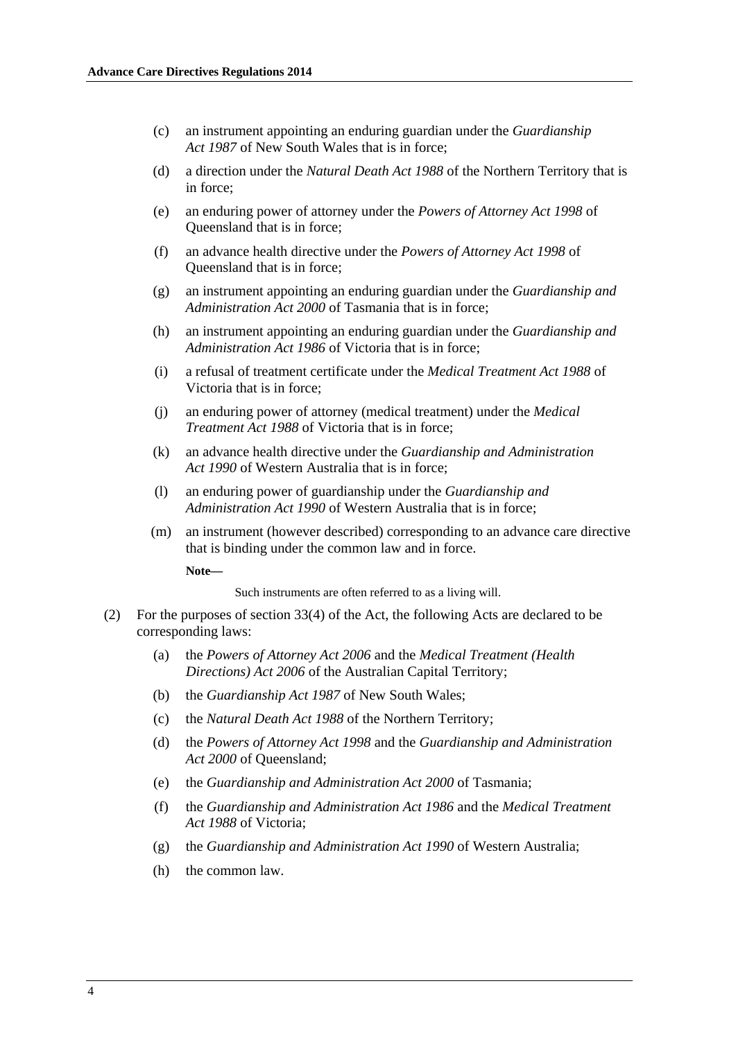- (c) an instrument appointing an enduring guardian under the *Guardianship Act 1987* of New South Wales that is in force;
- (d) a direction under the *Natural Death Act 1988* of the Northern Territory that is in force;
- (e) an enduring power of attorney under the *Powers of Attorney Act 1998* of Queensland that is in force;
- (f) an advance health directive under the *Powers of Attorney Act 1998* of Queensland that is in force;
- (g) an instrument appointing an enduring guardian under the *Guardianship and Administration Act 2000* of Tasmania that is in force;
- (h) an instrument appointing an enduring guardian under the *Guardianship and Administration Act 1986* of Victoria that is in force;
- (i) a refusal of treatment certificate under the *Medical Treatment Act 1988* of Victoria that is in force;
- (j) an enduring power of attorney (medical treatment) under the *Medical Treatment Act 1988* of Victoria that is in force;
- (k) an advance health directive under the *Guardianship and Administration Act 1990* of Western Australia that is in force;
- (l) an enduring power of guardianship under the *Guardianship and Administration Act 1990* of Western Australia that is in force;
- (m) an instrument (however described) corresponding to an advance care directive that is binding under the common law and in force.

**Note—** 

Such instruments are often referred to as a living will.

- (2) For the purposes of section 33(4) of the Act, the following Acts are declared to be corresponding laws:
	- (a) the *Powers of Attorney Act 2006* and the *Medical Treatment (Health Directions) Act 2006* of the Australian Capital Territory;
	- (b) the *Guardianship Act 1987* of New South Wales;
	- (c) the *Natural Death Act 1988* of the Northern Territory;
	- (d) the *Powers of Attorney Act 1998* and the *Guardianship and Administration Act 2000* of Queensland;
	- (e) the *Guardianship and Administration Act 2000* of Tasmania;
	- (f) the *Guardianship and Administration Act 1986* and the *Medical Treatment Act 1988* of Victoria;
	- (g) the *Guardianship and Administration Act 1990* of Western Australia;
	- (h) the common law.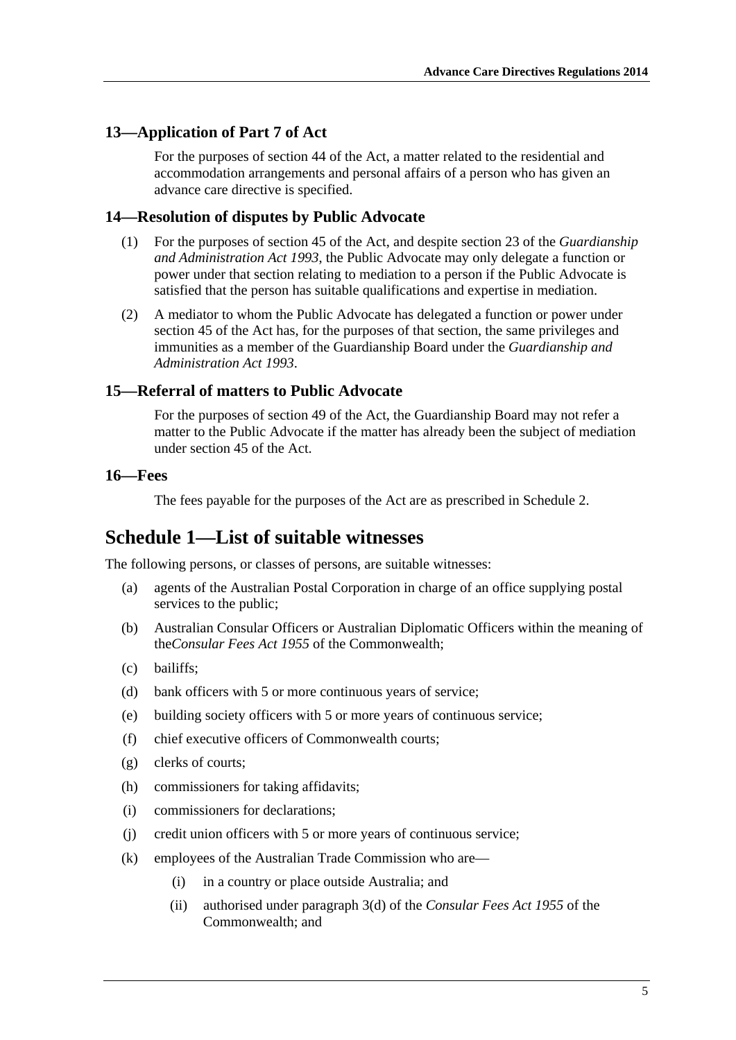### <span id="page-4-0"></span>**13—Application of Part 7 of Act**

For the purposes of section 44 of the Act, a matter related to the residential and accommodation arrangements and personal affairs of a person who has given an advance care directive is specified.

## **14—Resolution of disputes by Public Advocate**

- (1) For the purposes of section 45 of the Act, and despite section 23 of the *[Guardianship](http://www.legislation.sa.gov.au/index.aspx?action=legref&type=act&legtitle=Guardianship%20and%20Administration%20Act%201993)  [and Administration Act 1993](http://www.legislation.sa.gov.au/index.aspx?action=legref&type=act&legtitle=Guardianship%20and%20Administration%20Act%201993)*, the Public Advocate may only delegate a function or power under that section relating to mediation to a person if the Public Advocate is satisfied that the person has suitable qualifications and expertise in mediation.
- (2) A mediator to whom the Public Advocate has delegated a function or power under section 45 of the Act has, for the purposes of that section, the same privileges and immunities as a member of the Guardianship Board under the *[Guardianship and](http://www.legislation.sa.gov.au/index.aspx?action=legref&type=act&legtitle=Guardianship%20and%20Administration%20Act%201993)  [Administration Act 1993](http://www.legislation.sa.gov.au/index.aspx?action=legref&type=act&legtitle=Guardianship%20and%20Administration%20Act%201993)*.

## **15—Referral of matters to Public Advocate**

For the purposes of section 49 of the Act, the Guardianship Board may not refer a matter to the Public Advocate if the matter has already been the subject of mediation under section 45 of the Act.

#### **16—Fees**

The fees payable for the purposes of the Act are as prescribed in [Schedule 2](#page-6-0).

## **Schedule 1—List of suitable witnesses**

The following persons, or classes of persons, are suitable witnesses:

- (a) agents of the Australian Postal Corporation in charge of an office supplying postal services to the public;
- (b) Australian Consular Officers or Australian Diplomatic Officers within the meaning of the*Consular Fees Act 1955* of the Commonwealth;
- (c) bailiffs;
- (d) bank officers with 5 or more continuous years of service;
- (e) building society officers with 5 or more years of continuous service;
- (f) chief executive officers of Commonwealth courts;
- (g) clerks of courts;
- (h) commissioners for taking affidavits;
- (i) commissioners for declarations;
- (j) credit union officers with 5 or more years of continuous service;
- (k) employees of the Australian Trade Commission who are—
	- (i) in a country or place outside Australia; and
	- (ii) authorised under paragraph 3(d) of the *Consular Fees Act 1955* of the Commonwealth; and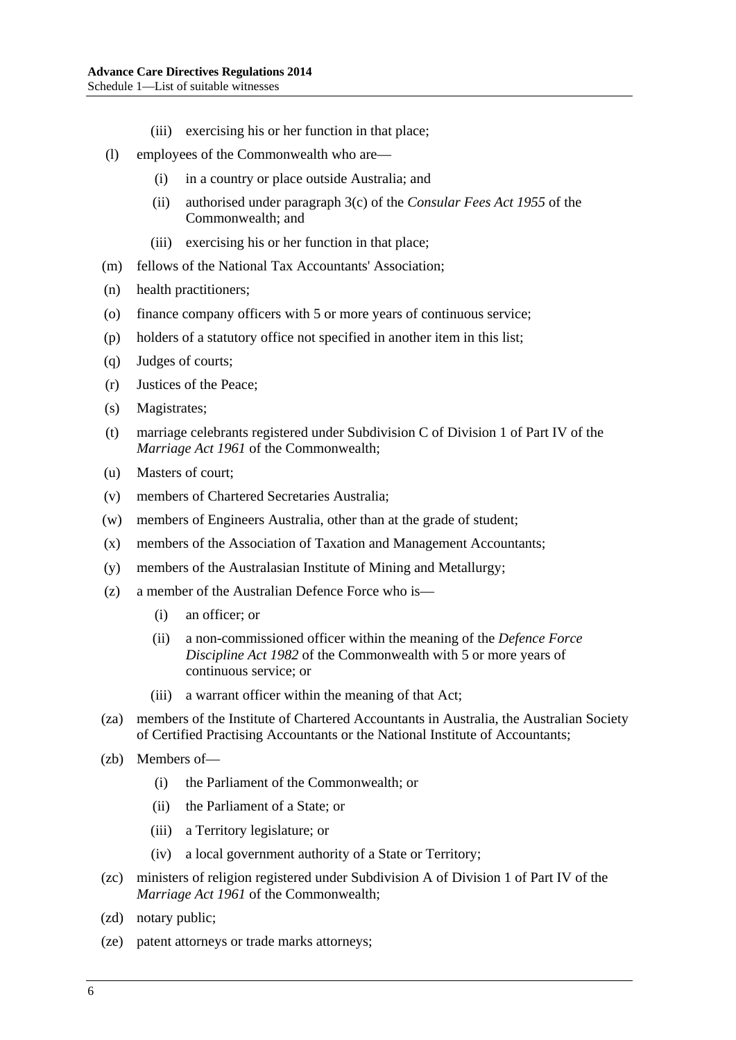- (iii) exercising his or her function in that place;
- (l) employees of the Commonwealth who are—
	- (i) in a country or place outside Australia; and
	- (ii) authorised under paragraph 3(c) of the *Consular Fees Act 1955* of the Commonwealth; and
	- (iii) exercising his or her function in that place;
- (m) fellows of the National Tax Accountants' Association;
- (n) health practitioners;
- (o) finance company officers with 5 or more years of continuous service;
- (p) holders of a statutory office not specified in another item in this list;
- (q) Judges of courts;
- (r) Justices of the Peace;
- (s) Magistrates;
- (t) marriage celebrants registered under Subdivision C of Division 1 of Part IV of the *Marriage Act 1961* of the Commonwealth;
- (u) Masters of court;
- (v) members of Chartered Secretaries Australia;
- (w) members of Engineers Australia, other than at the grade of student;
- (x) members of the Association of Taxation and Management Accountants;
- (y) members of the Australasian Institute of Mining and Metallurgy;
- (z) a member of the Australian Defence Force who is—
	- (i) an officer; or
	- (ii) a non-commissioned officer within the meaning of the *Defence Force Discipline Act 1982* of the Commonwealth with 5 or more years of continuous service; or
	- (iii) a warrant officer within the meaning of that Act;
- (za) members of the Institute of Chartered Accountants in Australia, the Australian Society of Certified Practising Accountants or the National Institute of Accountants;
- (zb) Members of—
	- (i) the Parliament of the Commonwealth; or
	- (ii) the Parliament of a State; or
	- (iii) a Territory legislature; or
	- (iv) a local government authority of a State or Territory;
- (zc) ministers of religion registered under Subdivision A of Division 1 of Part IV of the *Marriage Act 1961* of the Commonwealth;
- (zd) notary public;
- (ze) patent attorneys or trade marks attorneys;